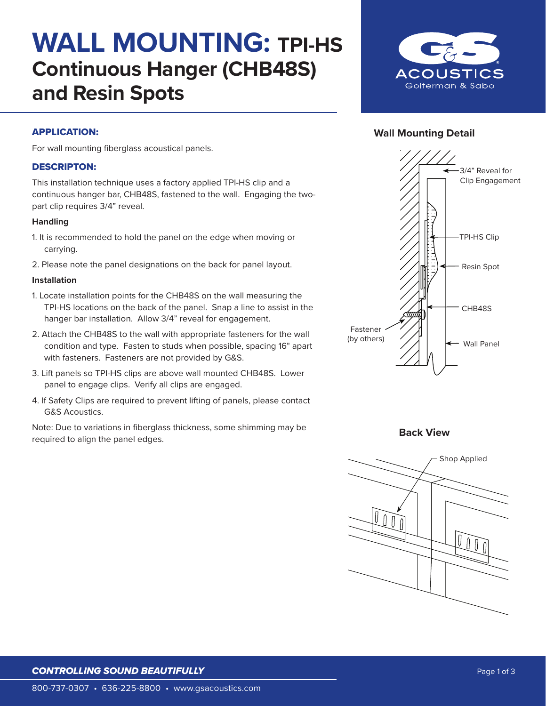## **WALL MOUNTING: TPI-HS Continuous Hanger (CHB48S) and Resin Spots**



### **Wall Mounting Detail**

## APPLICATION:

For wall mounting fiberglass acoustical panels.

## DESCRIPTON:

This installation technique uses a factory applied TPI-HS clip and a continuous hanger bar, CHB48S, fastened to the wall. Engaging the twopart clip requires 3/4" reveal.

#### **Handling**

- 1. It is recommended to hold the panel on the edge when moving or carrying.
- 2. Please note the panel designations on the back for panel layout.

#### **Installation**

- 1. Locate installation points for the CHB48S on the wall measuring the TPI-HS locations on the back of the panel. Snap a line to assist in the hanger bar installation. Allow 3/4" reveal for engagement.
- 2. Attach the CHB48S to the wall with appropriate fasteners for the wall condition and type. Fasten to studs when possible, spacing 16" apart with fasteners. Fasteners are not provided by G&S.
- 3. Lift panels so TPI-HS clips are above wall mounted CHB48S. Lower panel to engage clips. Verify all clips are engaged.
- 4. If Safety Clips are required to prevent lifting of panels, please contact G&S Acoustics.

Note: Due to variations in fiberglass thickness, some shimming may be required to align the panel edges.



**Back View**



### **CONTROLLING SOUND BEAUTIFULLY CONTROLLING Page 1 of 3**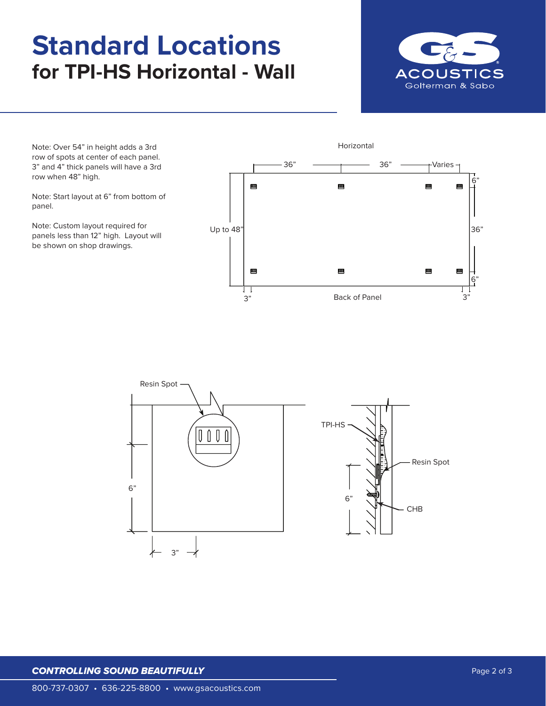# **Standard Locations for TPI-HS Horizontal - Wall**



6"

6"

36"

Horizontal Note: Over 54" in height adds a 3rd row of spots at center of each panel. -36" <del>- 1 3</del>6" Varies 3" and 4" thick panels will have a 3rd row when 48" high. Щ 四 Щ 四 Note: Start layout at 6" from bottom of panel. Note: Custom layout required for Up to 48" panels less than 12" high. Layout will be shown on shop drawings. Щ Щ Щ Щ

Π



3" 3" Back of Panel

#### **CONTROLLING SOUND BEAUTIFULLY CONTROLLING SOUND BEAUTIFULLY** *Page 2 of 3*